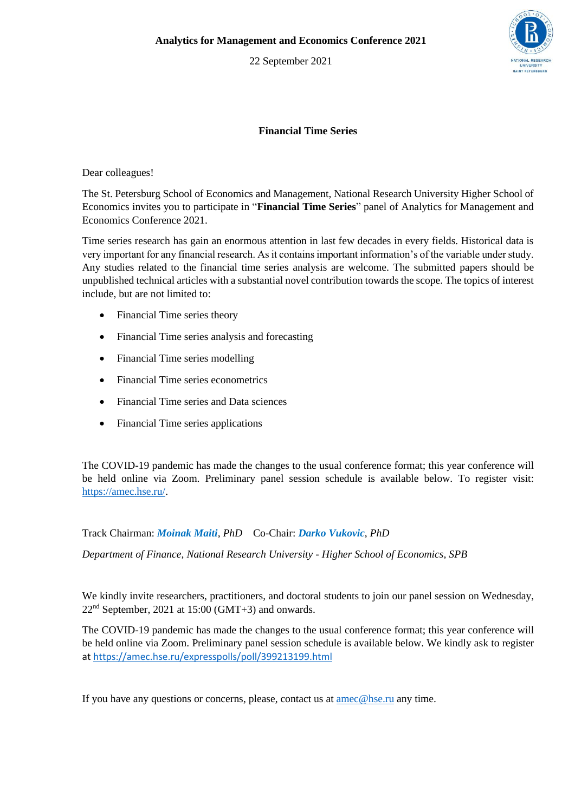22 September 2021



## **Financial Time Series**

Dear colleagues!

The St. Petersburg School of Economics and Management, National Research University Higher School of Economics invites you to participate in "**Financial Time Series**" panel of Analytics for Management and Economics Conference 2021.

Time series research has gain an enormous attention in last few decades in every fields. Historical data is very important for any financial research. As it contains important information's of the variable under study. Any studies related to the financial time series analysis are welcome. The submitted papers should be unpublished technical articles with a substantial novel contribution towards the scope. The topics of interest include, but are not limited to:

- Financial Time series theory
- Financial Time series analysis and forecasting
- Financial Time series modelling
- Financial Time series econometrics
- Financial Time series and Data sciences
- Financial Time series applications

The COVID-19 pandemic has made the changes to the usual conference format; this year conference will be held online via Zoom. Preliminary panel session schedule is available below. To register visit: [https://amec.hse.ru/.](https://amec.hse.ru/)

Track Chairman: *Moinak Maiti, PhD* Co-Chair: *Darko Vukovic*, *PhD*

*Department of Finance, National Research University - Higher School of Economics, SPB*

We kindly invite researchers, practitioners, and doctoral students to join our panel session on Wednesday,  $22<sup>nd</sup>$  September, 2021 at 15:00 (GMT+3) and onwards.

The COVID-19 pandemic has made the changes to the usual conference format; this year conference will be held online via Zoom. Preliminary panel session schedule is available below. We kindly ask to register a[t https://amec.hse.ru/expresspolls/poll/399213199.html](https://amec.hse.ru/expresspolls/poll/399213199.html)

If you have any questions or concerns, please, contact us at [amec@hse.ru](mailto:amec@hse.ru) any time.